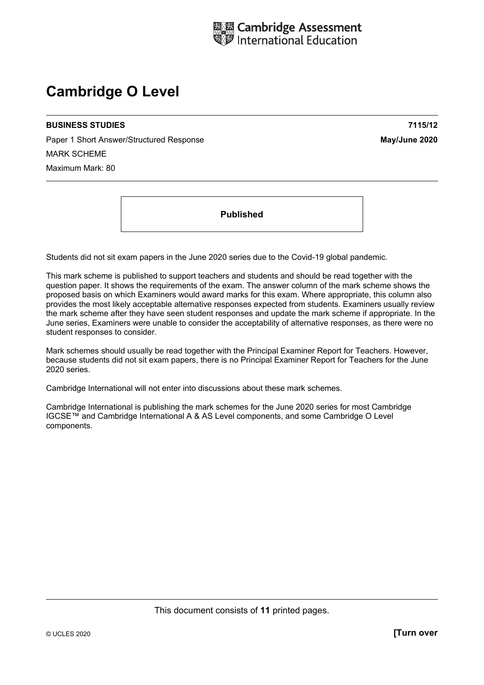

# **Cambridge O Level**

#### **BUSINESS STUDIES 7115/12**

Paper 1 Short Answer/Structured Response **May/June 2020** MARK SCHEME Maximum Mark: 80

**Published** 

Students did not sit exam papers in the June 2020 series due to the Covid-19 global pandemic.

This mark scheme is published to support teachers and students and should be read together with the question paper. It shows the requirements of the exam. The answer column of the mark scheme shows the proposed basis on which Examiners would award marks for this exam. Where appropriate, this column also provides the most likely acceptable alternative responses expected from students. Examiners usually review the mark scheme after they have seen student responses and update the mark scheme if appropriate. In the June series, Examiners were unable to consider the acceptability of alternative responses, as there were no student responses to consider.

Mark schemes should usually be read together with the Principal Examiner Report for Teachers. However, because students did not sit exam papers, there is no Principal Examiner Report for Teachers for the June 2020 series.

Cambridge International will not enter into discussions about these mark schemes.

Cambridge International is publishing the mark schemes for the June 2020 series for most Cambridge IGCSE™ and Cambridge International A & AS Level components, and some Cambridge O Level components.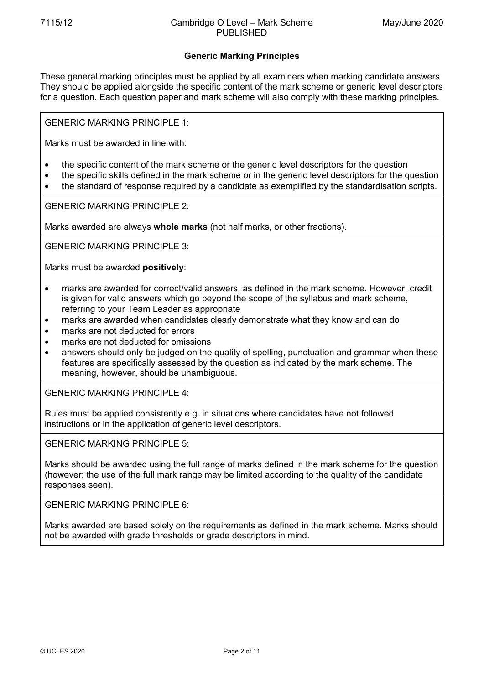# **Generic Marking Principles**

These general marking principles must be applied by all examiners when marking candidate answers. They should be applied alongside the specific content of the mark scheme or generic level descriptors for a question. Each question paper and mark scheme will also comply with these marking principles.

GENERIC MARKING PRINCIPLE 1:

Marks must be awarded in line with:

- the specific content of the mark scheme or the generic level descriptors for the question
- the specific skills defined in the mark scheme or in the generic level descriptors for the question
- the standard of response required by a candidate as exemplified by the standardisation scripts.

GENERIC MARKING PRINCIPLE 2:

Marks awarded are always **whole marks** (not half marks, or other fractions).

GENERIC MARKING PRINCIPLE 3:

Marks must be awarded **positively**:

- marks are awarded for correct/valid answers, as defined in the mark scheme. However, credit is given for valid answers which go beyond the scope of the syllabus and mark scheme, referring to your Team Leader as appropriate
- marks are awarded when candidates clearly demonstrate what they know and can do
- marks are not deducted for errors
- marks are not deducted for omissions
- answers should only be judged on the quality of spelling, punctuation and grammar when these features are specifically assessed by the question as indicated by the mark scheme. The meaning, however, should be unambiguous.

GENERIC MARKING PRINCIPLE 4:

Rules must be applied consistently e.g. in situations where candidates have not followed instructions or in the application of generic level descriptors.

GENERIC MARKING PRINCIPLE 5:

Marks should be awarded using the full range of marks defined in the mark scheme for the question (however; the use of the full mark range may be limited according to the quality of the candidate responses seen).

GENERIC MARKING PRINCIPLE 6:

Marks awarded are based solely on the requirements as defined in the mark scheme. Marks should not be awarded with grade thresholds or grade descriptors in mind.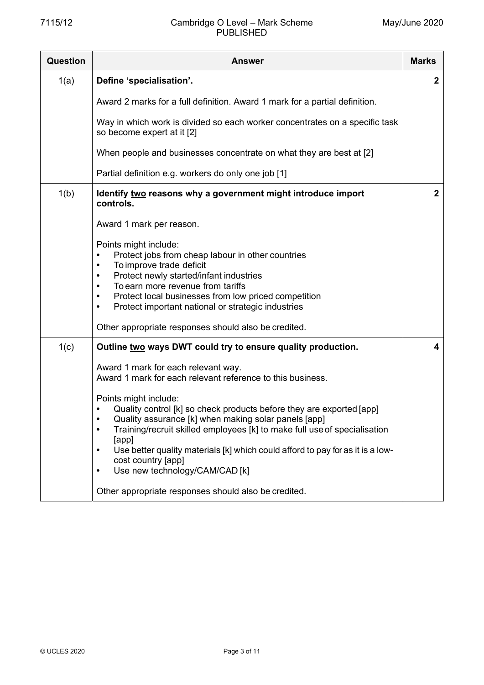## 7115/12 Cambridge O Level – Mark Scheme PUBLISHED

| Question | Answer                                                                                                                                                                                                                                                                                                                                                                                                                                    | <b>Marks</b> |
|----------|-------------------------------------------------------------------------------------------------------------------------------------------------------------------------------------------------------------------------------------------------------------------------------------------------------------------------------------------------------------------------------------------------------------------------------------------|--------------|
| 1(a)     | Define 'specialisation'.                                                                                                                                                                                                                                                                                                                                                                                                                  | $\mathbf{2}$ |
|          | Award 2 marks for a full definition. Award 1 mark for a partial definition.                                                                                                                                                                                                                                                                                                                                                               |              |
|          | Way in which work is divided so each worker concentrates on a specific task<br>so become expert at it [2]                                                                                                                                                                                                                                                                                                                                 |              |
|          | When people and businesses concentrate on what they are best at [2]                                                                                                                                                                                                                                                                                                                                                                       |              |
|          | Partial definition e.g. workers do only one job [1]                                                                                                                                                                                                                                                                                                                                                                                       |              |
| 1(b)     | Identify two reasons why a government might introduce import<br>controls.                                                                                                                                                                                                                                                                                                                                                                 | $\mathbf{2}$ |
|          | Award 1 mark per reason.                                                                                                                                                                                                                                                                                                                                                                                                                  |              |
|          | Points might include:<br>Protect jobs from cheap labour in other countries<br>To improve trade deficit<br>٠<br>Protect newly started/infant industries<br>٠<br>To earn more revenue from tariffs<br>$\bullet$<br>Protect local businesses from low priced competition<br>$\bullet$<br>Protect important national or strategic industries<br>$\bullet$                                                                                     |              |
|          | Other appropriate responses should also be credited.                                                                                                                                                                                                                                                                                                                                                                                      |              |
| 1(c)     | Outline two ways DWT could try to ensure quality production.                                                                                                                                                                                                                                                                                                                                                                              | 4            |
|          | Award 1 mark for each relevant way.<br>Award 1 mark for each relevant reference to this business.                                                                                                                                                                                                                                                                                                                                         |              |
|          | Points might include:<br>Quality control [k] so check products before they are exported [app]<br>Quality assurance [k] when making solar panels [app]<br>$\bullet$<br>Training/recruit skilled employees [k] to make full use of specialisation<br>$\bullet$<br>[app]<br>Use better quality materials [k] which could afford to pay for as it is a low-<br>$\bullet$<br>cost country [app]<br>Use new technology/CAM/CAD [k]<br>$\bullet$ |              |
|          | Other appropriate responses should also be credited.                                                                                                                                                                                                                                                                                                                                                                                      |              |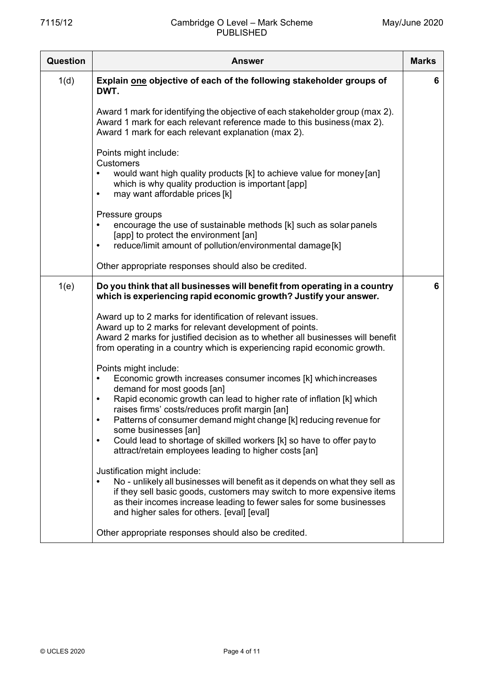| <b>Question</b> | <b>Answer</b>                                                                                                                                                                                                                                                                                                                                                                                                                                                                                                         | <b>Marks</b> |
|-----------------|-----------------------------------------------------------------------------------------------------------------------------------------------------------------------------------------------------------------------------------------------------------------------------------------------------------------------------------------------------------------------------------------------------------------------------------------------------------------------------------------------------------------------|--------------|
| 1(d)            | Explain one objective of each of the following stakeholder groups of<br>DWT.                                                                                                                                                                                                                                                                                                                                                                                                                                          | 6            |
|                 | Award 1 mark for identifying the objective of each stakeholder group (max 2).<br>Award 1 mark for each relevant reference made to this business (max 2).<br>Award 1 mark for each relevant explanation (max 2).                                                                                                                                                                                                                                                                                                       |              |
|                 | Points might include:<br><b>Customers</b><br>would want high quality products [k] to achieve value for money [an]<br>which is why quality production is important [app]<br>may want affordable prices [k]<br>$\bullet$                                                                                                                                                                                                                                                                                                |              |
|                 | Pressure groups<br>encourage the use of sustainable methods [k] such as solar panels<br>$\bullet$<br>[app] to protect the environment [an]<br>reduce/limit amount of pollution/environmental damage[k]<br>$\bullet$                                                                                                                                                                                                                                                                                                   |              |
|                 | Other appropriate responses should also be credited.                                                                                                                                                                                                                                                                                                                                                                                                                                                                  |              |
| 1(e)            | Do you think that all businesses will benefit from operating in a country<br>which is experiencing rapid economic growth? Justify your answer.                                                                                                                                                                                                                                                                                                                                                                        | 6            |
|                 | Award up to 2 marks for identification of relevant issues.<br>Award up to 2 marks for relevant development of points.<br>Award 2 marks for justified decision as to whether all businesses will benefit<br>from operating in a country which is experiencing rapid economic growth.                                                                                                                                                                                                                                   |              |
|                 | Points might include:<br>Economic growth increases consumer incomes [k] which increases<br>demand for most goods [an]<br>Rapid economic growth can lead to higher rate of inflation [k] which<br>$\bullet$<br>raises firms' costs/reduces profit margin [an]<br>Patterns of consumer demand might change [k] reducing revenue for<br>$\bullet$<br>some businesses [an]<br>Could lead to shortage of skilled workers [k] so have to offer pay to<br>$\bullet$<br>attract/retain employees leading to higher costs [an] |              |
|                 | Justification might include:<br>No - unlikely all businesses will benefit as it depends on what they sell as<br>if they sell basic goods, customers may switch to more expensive items<br>as their incomes increase leading to fewer sales for some businesses<br>and higher sales for others. [eval] [eval]                                                                                                                                                                                                          |              |
|                 | Other appropriate responses should also be credited.                                                                                                                                                                                                                                                                                                                                                                                                                                                                  |              |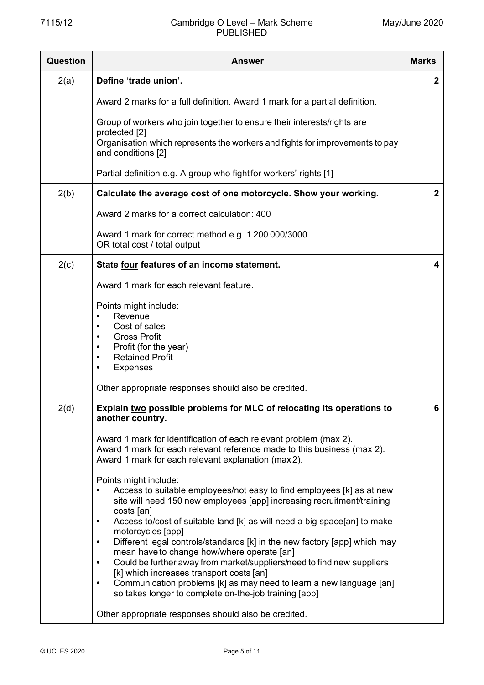## 7115/12 Cambridge O Level – Mark Scheme PUBLISHED

| Question | <b>Answer</b>                                                                                                                                                                                                                                                                | <b>Marks</b> |
|----------|------------------------------------------------------------------------------------------------------------------------------------------------------------------------------------------------------------------------------------------------------------------------------|--------------|
| 2(a)     | Define 'trade union'.                                                                                                                                                                                                                                                        | $\mathbf{2}$ |
|          | Award 2 marks for a full definition. Award 1 mark for a partial definition.                                                                                                                                                                                                  |              |
|          | Group of workers who join together to ensure their interests/rights are                                                                                                                                                                                                      |              |
|          | protected [2]<br>Organisation which represents the workers and fights for improvements to pay<br>and conditions [2]                                                                                                                                                          |              |
|          | Partial definition e.g. A group who fight for workers' rights [1]                                                                                                                                                                                                            |              |
| 2(b)     | Calculate the average cost of one motorcycle. Show your working.                                                                                                                                                                                                             | $\mathbf 2$  |
|          | Award 2 marks for a correct calculation: 400                                                                                                                                                                                                                                 |              |
|          | Award 1 mark for correct method e.g. 1 200 000/3000<br>OR total cost / total output                                                                                                                                                                                          |              |
| 2(c)     | State four features of an income statement.                                                                                                                                                                                                                                  | 4            |
|          | Award 1 mark for each relevant feature.                                                                                                                                                                                                                                      |              |
|          | Points might include:<br>Revenue<br>Cost of sales<br>$\bullet$<br><b>Gross Profit</b><br>$\bullet$                                                                                                                                                                           |              |
|          | Profit (for the year)<br>$\bullet$<br><b>Retained Profit</b><br>$\bullet$<br><b>Expenses</b>                                                                                                                                                                                 |              |
|          | Other appropriate responses should also be credited.                                                                                                                                                                                                                         |              |
| 2(d)     | Explain two possible problems for MLC of relocating its operations to<br>another country.                                                                                                                                                                                    | 6            |
|          | Award 1 mark for identification of each relevant problem (max 2).<br>Award 1 mark for each relevant reference made to this business (max 2).<br>Award 1 mark for each relevant explanation (max 2).                                                                          |              |
|          | Points might include:<br>Access to suitable employees/not easy to find employees [k] as at new<br>site will need 150 new employees [app] increasing recruitment/training<br>costs [an]                                                                                       |              |
|          | Access to/cost of suitable land [k] as will need a big space[an] to make<br>$\bullet$<br>motorcycles [app]<br>Different legal controls/standards [k] in the new factory [app] which may<br>$\bullet$<br>mean have to change how/where operate [an]                           |              |
|          | Could be further away from market/suppliers/need to find new suppliers<br>$\bullet$<br>[k] which increases transport costs [an]<br>Communication problems [k] as may need to learn a new language [an]<br>$\bullet$<br>so takes longer to complete on-the-job training [app] |              |
|          | Other appropriate responses should also be credited.                                                                                                                                                                                                                         |              |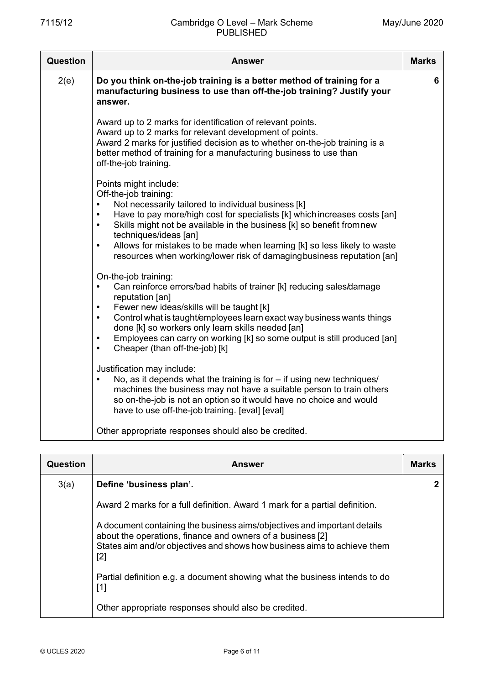| Question | <b>Answer</b>                                                                                                                                                                                                                                                                                                                                                                                                                                                              | <b>Marks</b> |
|----------|----------------------------------------------------------------------------------------------------------------------------------------------------------------------------------------------------------------------------------------------------------------------------------------------------------------------------------------------------------------------------------------------------------------------------------------------------------------------------|--------------|
| 2(e)     | Do you think on-the-job training is a better method of training for a<br>manufacturing business to use than off-the-job training? Justify your<br>answer.                                                                                                                                                                                                                                                                                                                  | 6            |
|          | Award up to 2 marks for identification of relevant points.<br>Award up to 2 marks for relevant development of points.<br>Award 2 marks for justified decision as to whether on-the-job training is a<br>better method of training for a manufacturing business to use than<br>off-the-job training.                                                                                                                                                                        |              |
|          | Points might include:<br>Off-the-job training:<br>Not necessarily tailored to individual business [k]<br>Have to pay more/high cost for specialists [k] which increases costs [an]<br>Skills might not be available in the business [k] so benefit fromnew<br>$\bullet$<br>techniques/ideas [an]<br>Allows for mistakes to be made when learning [k] so less likely to waste<br>$\bullet$<br>resources when working/lower risk of damaging business reputation [an]        |              |
|          | On-the-job training:<br>Can reinforce errors/bad habits of trainer [k] reducing sales/damage<br>$\bullet$<br>reputation [an]<br>Fewer new ideas/skills will be taught [k]<br>$\bullet$<br>Control what is taught/employees learn exact way business wants things<br>$\bullet$<br>done [k] so workers only learn skills needed [an]<br>Employees can carry on working [k] so some output is still produced [an]<br>$\bullet$<br>Cheaper (than off-the-job) [k]<br>$\bullet$ |              |
|          | Justification may include:<br>No, as it depends what the training is for $-$ if using new techniques/<br>$\bullet$<br>machines the business may not have a suitable person to train others<br>so on-the-job is not an option so it would have no choice and would<br>have to use off-the-job training. [eval] [eval]                                                                                                                                                       |              |
|          | Other appropriate responses should also be credited.                                                                                                                                                                                                                                                                                                                                                                                                                       |              |

| Question | Answer                                                                                                                                                                                                                      | <b>Marks</b> |
|----------|-----------------------------------------------------------------------------------------------------------------------------------------------------------------------------------------------------------------------------|--------------|
| 3(a)     | Define 'business plan'.                                                                                                                                                                                                     |              |
|          | Award 2 marks for a full definition. Award 1 mark for a partial definition.                                                                                                                                                 |              |
|          | A document containing the business aims/objectives and important details<br>about the operations, finance and owners of a business [2]<br>States aim and/or objectives and shows how business aims to achieve them<br>$[2]$ |              |
|          | Partial definition e.g. a document showing what the business intends to do<br>$[1]$                                                                                                                                         |              |
|          | Other appropriate responses should also be credited.                                                                                                                                                                        |              |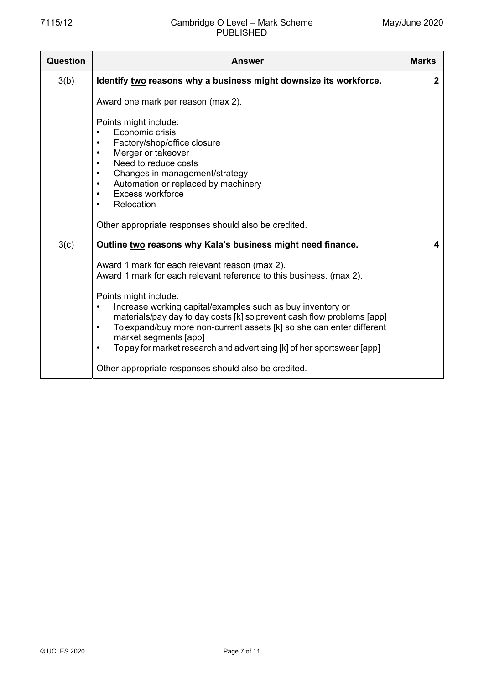| Question | <b>Answer</b>                                                                                                                                                                                                                                                                                                                                                                                                                                                                                            | <b>Marks</b> |
|----------|----------------------------------------------------------------------------------------------------------------------------------------------------------------------------------------------------------------------------------------------------------------------------------------------------------------------------------------------------------------------------------------------------------------------------------------------------------------------------------------------------------|--------------|
| 3(b)     | Identify two reasons why a business might downsize its workforce.                                                                                                                                                                                                                                                                                                                                                                                                                                        | $\mathbf{2}$ |
|          | Award one mark per reason (max 2).                                                                                                                                                                                                                                                                                                                                                                                                                                                                       |              |
|          | Points might include:<br>Economic crisis<br>$\bullet$<br>Factory/shop/office closure<br>٠<br>Merger or takeover<br>Need to reduce costs<br>$\bullet$<br>Changes in management/strategy<br>$\bullet$<br>Automation or replaced by machinery<br>$\bullet$<br>Excess workforce<br>$\bullet$<br>Relocation<br>$\bullet$                                                                                                                                                                                      |              |
|          | Other appropriate responses should also be credited.                                                                                                                                                                                                                                                                                                                                                                                                                                                     |              |
| 3(c)     | Outline two reasons why Kala's business might need finance.                                                                                                                                                                                                                                                                                                                                                                                                                                              | 4            |
|          | Award 1 mark for each relevant reason (max 2).<br>Award 1 mark for each relevant reference to this business. (max 2).<br>Points might include:<br>Increase working capital/examples such as buy inventory or<br>$\bullet$<br>materials/pay day to day costs [k] so prevent cash flow problems [app]<br>To expand/buy more non-current assets [k] so she can enter different<br>$\bullet$<br>market segments [app]<br>To pay for market research and advertising [k] of her sportswear [app]<br>$\bullet$ |              |
|          | Other appropriate responses should also be credited.                                                                                                                                                                                                                                                                                                                                                                                                                                                     |              |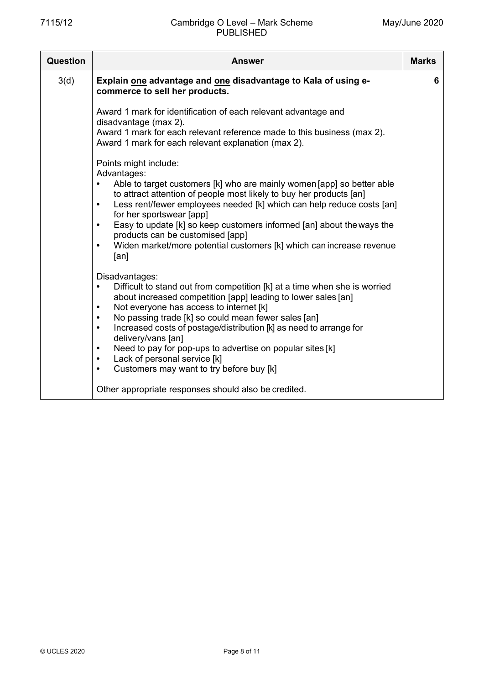| <b>Question</b> | <b>Answer</b>                                                                                                                                                                                                                                                                                                                                                                                                                                                                                                                                                                          | <b>Marks</b> |
|-----------------|----------------------------------------------------------------------------------------------------------------------------------------------------------------------------------------------------------------------------------------------------------------------------------------------------------------------------------------------------------------------------------------------------------------------------------------------------------------------------------------------------------------------------------------------------------------------------------------|--------------|
| 3(d)            | Explain one advantage and one disadvantage to Kala of using e-<br>commerce to sell her products.                                                                                                                                                                                                                                                                                                                                                                                                                                                                                       | 6            |
|                 | Award 1 mark for identification of each relevant advantage and<br>disadvantage (max 2).<br>Award 1 mark for each relevant reference made to this business (max 2).<br>Award 1 mark for each relevant explanation (max 2).                                                                                                                                                                                                                                                                                                                                                              |              |
|                 | Points might include:<br>Advantages:<br>Able to target customers [k] who are mainly women [app] so better able<br>to attract attention of people most likely to buy her products [an]<br>Less rent/fewer employees needed [k] which can help reduce costs [an]<br>$\bullet$<br>for her sportswear [app]<br>Easy to update [k] so keep customers informed [an] about the ways the<br>$\bullet$<br>products can be customised [app]<br>Widen market/more potential customers [k] which can increase revenue<br>$\bullet$<br>[an]                                                         |              |
|                 | Disadvantages:<br>Difficult to stand out from competition [k] at a time when she is worried<br>$\bullet$<br>about increased competition [app] leading to lower sales [an]<br>Not everyone has access to internet [k]<br>٠<br>No passing trade [k] so could mean fewer sales [an]<br>$\bullet$<br>Increased costs of postage/distribution [k] as need to arrange for<br>$\bullet$<br>delivery/vans [an]<br>Need to pay for pop-ups to advertise on popular sites [k]<br>$\bullet$<br>Lack of personal service [k]<br>$\bullet$<br>Customers may want to try before buy [k]<br>$\bullet$ |              |
|                 | Other appropriate responses should also be credited.                                                                                                                                                                                                                                                                                                                                                                                                                                                                                                                                   |              |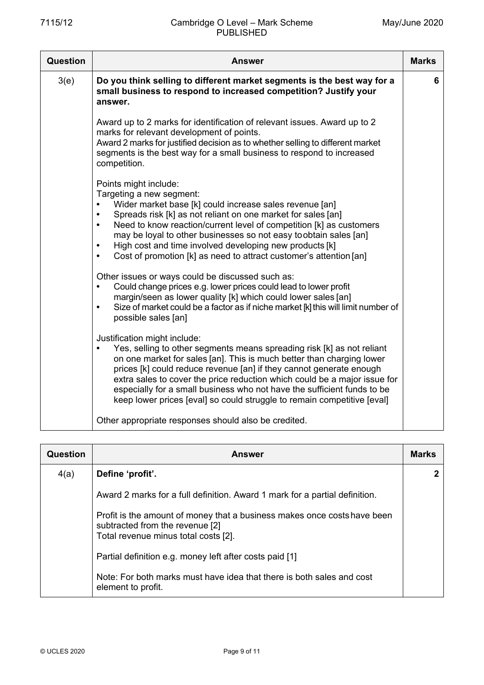| <b>Question</b> | <b>Answer</b>                                                                                                                                                                                                                                                                                                                                                                                                                                                                                                                                                                                                                                                                                                      | <b>Marks</b> |
|-----------------|--------------------------------------------------------------------------------------------------------------------------------------------------------------------------------------------------------------------------------------------------------------------------------------------------------------------------------------------------------------------------------------------------------------------------------------------------------------------------------------------------------------------------------------------------------------------------------------------------------------------------------------------------------------------------------------------------------------------|--------------|
| 3(e)            | Do you think selling to different market segments is the best way for a<br>small business to respond to increased competition? Justify your<br>answer.                                                                                                                                                                                                                                                                                                                                                                                                                                                                                                                                                             | 6            |
|                 | Award up to 2 marks for identification of relevant issues. Award up to 2<br>marks for relevant development of points.<br>Award 2 marks for justified decision as to whether selling to different market<br>segments is the best way for a small business to respond to increased<br>competition.                                                                                                                                                                                                                                                                                                                                                                                                                   |              |
|                 | Points might include:<br>Targeting a new segment:<br>Wider market base [k] could increase sales revenue [an]<br>Spreads risk [k] as not reliant on one market for sales [an]<br>$\bullet$<br>Need to know reaction/current level of competition [k] as customers<br>$\bullet$<br>may be loyal to other businesses so not easy toobtain sales [an]<br>High cost and time involved developing new products [k]<br>$\bullet$<br>Cost of promotion [k] as need to attract customer's attention [an]<br>$\bullet$<br>Other issues or ways could be discussed such as:<br>Could change prices e.g. lower prices could lead to lower profit<br>$\bullet$<br>margin/seen as lower quality [k] which could lower sales [an] |              |
|                 | Size of market could be a factor as if niche market [k] this will limit number of<br>$\bullet$<br>possible sales [an]                                                                                                                                                                                                                                                                                                                                                                                                                                                                                                                                                                                              |              |
|                 | Justification might include:<br>Yes, selling to other segments means spreading risk [k] as not reliant<br>$\bullet$<br>on one market for sales [an]. This is much better than charging lower<br>prices [k] could reduce revenue [an] if they cannot generate enough<br>extra sales to cover the price reduction which could be a major issue for<br>especially for a small business who not have the sufficient funds to be<br>keep lower prices [eval] so could struggle to remain competitive [eval]                                                                                                                                                                                                             |              |
|                 | Other appropriate responses should also be credited.                                                                                                                                                                                                                                                                                                                                                                                                                                                                                                                                                                                                                                                               |              |

| Question | <b>Answer</b>                                                                                                                                       | <b>Marks</b> |
|----------|-----------------------------------------------------------------------------------------------------------------------------------------------------|--------------|
| 4(a)     | Define 'profit'.                                                                                                                                    |              |
|          | Award 2 marks for a full definition. Award 1 mark for a partial definition.                                                                         |              |
|          | Profit is the amount of money that a business makes once costs have been<br>subtracted from the revenue [2]<br>Total revenue minus total costs [2]. |              |
|          | Partial definition e.g. money left after costs paid [1]                                                                                             |              |
|          | Note: For both marks must have idea that there is both sales and cost<br>element to profit.                                                         |              |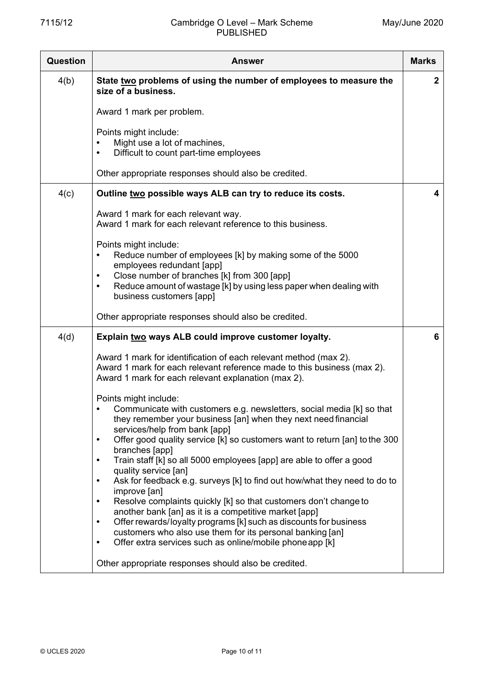| <b>Question</b> | <b>Answer</b>                                                                                                                                                                                                                                                                                                                                                                                                                                                                                                                                                                                                                                                                                                                                                                                                                                                                                           | <b>Marks</b> |
|-----------------|---------------------------------------------------------------------------------------------------------------------------------------------------------------------------------------------------------------------------------------------------------------------------------------------------------------------------------------------------------------------------------------------------------------------------------------------------------------------------------------------------------------------------------------------------------------------------------------------------------------------------------------------------------------------------------------------------------------------------------------------------------------------------------------------------------------------------------------------------------------------------------------------------------|--------------|
| 4(b)            | State two problems of using the number of employees to measure the<br>size of a business.                                                                                                                                                                                                                                                                                                                                                                                                                                                                                                                                                                                                                                                                                                                                                                                                               | $\mathbf{2}$ |
|                 | Award 1 mark per problem.                                                                                                                                                                                                                                                                                                                                                                                                                                                                                                                                                                                                                                                                                                                                                                                                                                                                               |              |
|                 | Points might include:<br>Might use a lot of machines,<br>Difficult to count part-time employees                                                                                                                                                                                                                                                                                                                                                                                                                                                                                                                                                                                                                                                                                                                                                                                                         |              |
|                 | Other appropriate responses should also be credited.                                                                                                                                                                                                                                                                                                                                                                                                                                                                                                                                                                                                                                                                                                                                                                                                                                                    |              |
| 4(c)            | Outline two possible ways ALB can try to reduce its costs.                                                                                                                                                                                                                                                                                                                                                                                                                                                                                                                                                                                                                                                                                                                                                                                                                                              | 4            |
|                 | Award 1 mark for each relevant way.<br>Award 1 mark for each relevant reference to this business.                                                                                                                                                                                                                                                                                                                                                                                                                                                                                                                                                                                                                                                                                                                                                                                                       |              |
|                 | Points might include:<br>Reduce number of employees [k] by making some of the 5000<br>employees redundant [app]<br>Close number of branches [k] from 300 [app]<br>$\bullet$<br>Reduce amount of wastage [k] by using less paper when dealing with<br>$\bullet$<br>business customers [app]                                                                                                                                                                                                                                                                                                                                                                                                                                                                                                                                                                                                              |              |
|                 | Other appropriate responses should also be credited.                                                                                                                                                                                                                                                                                                                                                                                                                                                                                                                                                                                                                                                                                                                                                                                                                                                    |              |
| 4(d)            | Explain two ways ALB could improve customer loyalty.                                                                                                                                                                                                                                                                                                                                                                                                                                                                                                                                                                                                                                                                                                                                                                                                                                                    | 6            |
|                 | Award 1 mark for identification of each relevant method (max 2).<br>Award 1 mark for each relevant reference made to this business (max 2).<br>Award 1 mark for each relevant explanation (max 2).                                                                                                                                                                                                                                                                                                                                                                                                                                                                                                                                                                                                                                                                                                      |              |
|                 | Points might include:<br>Communicate with customers e.g. newsletters, social media [k] so that<br>they remember your business [an] when they next need financial<br>services/help from bank [app]<br>Offer good quality service [k] so customers want to return [an] to the 300<br>$\bullet$<br>branches [app]<br>Train staff [k] so all 5000 employees [app] are able to offer a good<br>$\bullet$<br>quality service [an]<br>Ask for feedback e.g. surveys [k] to find out how/what they need to do to<br>$\bullet$<br>improve [an]<br>Resolve complaints quickly [k] so that customers don't change to<br>$\bullet$<br>another bank [an] as it is a competitive market [app]<br>Offer rewards/loyalty programs [k] such as discounts for business<br>$\bullet$<br>customers who also use them for its personal banking [an]<br>Offer extra services such as online/mobile phone app [k]<br>$\bullet$ |              |
|                 | Other appropriate responses should also be credited.                                                                                                                                                                                                                                                                                                                                                                                                                                                                                                                                                                                                                                                                                                                                                                                                                                                    |              |